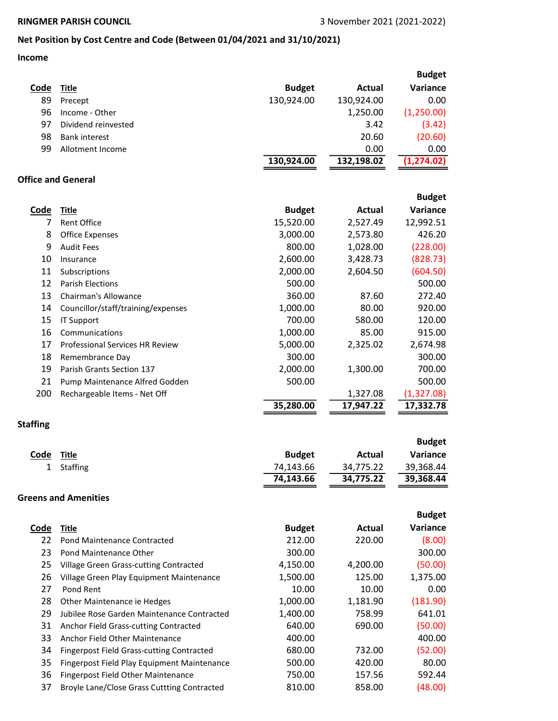## Net Position by Cost Centre and Code (Between 01/04/2021 and 31/10/2021)

## Income

|                           |                                                  |               |               | <b>Budget</b> |
|---------------------------|--------------------------------------------------|---------------|---------------|---------------|
| Code                      | <b>Title</b>                                     | <b>Budget</b> | <b>Actual</b> | Variance      |
| 89                        | Precept                                          | 130,924.00    | 130,924.00    | 0.00          |
| 96                        | Income - Other                                   |               | 1,250.00      | (1,250.00)    |
| 97                        | Dividend reinvested                              |               | 3.42          | (3.42)        |
| 98                        | <b>Bank interest</b>                             |               | 20.60         | (20.60)       |
| 99                        | Allotment Income                                 |               | 0.00          | 0.00          |
|                           |                                                  | 130,924.00    | 132,198.02    | (1, 274.02)   |
| <b>Office and General</b> |                                                  |               |               |               |
|                           |                                                  |               |               |               |
|                           |                                                  |               |               | <b>Budget</b> |
| <b>Code</b>               | <b>Title</b>                                     | <b>Budget</b> | <b>Actual</b> | Variance      |
| 7                         | <b>Rent Office</b>                               | 15,520.00     | 2,527.49      | 12,992.51     |
| 8                         | <b>Office Expenses</b>                           | 3,000.00      | 2,573.80      | 426.20        |
| 9                         | <b>Audit Fees</b>                                | 800.00        | 1,028.00      | (228.00)      |
| 10                        | Insurance                                        | 2,600.00      | 3,428.73      | (828.73)      |
| 11                        | Subscriptions                                    | 2,000.00      | 2,604.50      | (604.50)      |
| 12                        | <b>Parish Elections</b>                          | 500.00        |               | 500.00        |
| 13                        | Chairman's Allowance                             | 360.00        | 87.60         | 272.40        |
| 14                        | Councillor/staff/training/expenses               | 1,000.00      | 80.00         | 920.00        |
| 15                        | <b>IT Support</b>                                | 700.00        | 580.00        | 120.00        |
| 16                        | Communications                                   | 1,000.00      | 85.00         | 915.00        |
| 17                        | Professional Services HR Review                  | 5,000.00      | 2,325.02      | 2,674.98      |
| 18                        | Remembrance Day                                  | 300.00        |               | 300.00        |
| 19                        | Parish Grants Section 137                        | 2,000.00      | 1,300.00      | 700.00        |
| 21                        | Pump Maintenance Alfred Godden                   | 500.00        |               | 500.00        |
| 200                       | Rechargeable Items - Net Off                     |               | 1,327.08      | (1,327.08)    |
|                           |                                                  | 35,280.00     | 17,947.22     | 17,332.78     |
|                           |                                                  |               |               |               |
| <b>Staffing</b>           |                                                  |               |               |               |
|                           |                                                  |               |               | <b>Budget</b> |
| Code                      | <b>Title</b>                                     | <b>Budget</b> | <b>Actual</b> | Variance      |
| 1                         | Staffing                                         | 74,143.66     | 34,775.22     | 39,368.44     |
|                           |                                                  | 74,143.66     | 34,775.22     | 39,368.44     |
|                           | <b>Greens and Amenities</b>                      |               |               |               |
|                           |                                                  |               |               |               |
|                           |                                                  |               |               | <b>Budget</b> |
| <b>Code</b>               | <b>Title</b>                                     | <b>Budget</b> | Actual        | Variance      |
| 22                        | Pond Maintenance Contracted                      | 212.00        | 220.00        | (8.00)        |
| 23                        | Pond Maintenance Other                           | 300.00        |               | 300.00        |
| 25                        | Village Green Grass-cutting Contracted           | 4,150.00      | 4,200.00      | (50.00)       |
| 26                        | Village Green Play Equipment Maintenance         | 1,500.00      | 125.00        | 1,375.00      |
| 27                        | Pond Rent                                        | 10.00         | 10.00         | 0.00          |
| 28                        | Other Maintenance ie Hedges                      | 1,000.00      | 1,181.90      | (181.90)      |
| 29                        | Jubilee Rose Garden Maintenance Contracted       | 1,400.00      | 758.99        | 641.01        |
| 31                        | Anchor Field Grass-cutting Contracted            | 640.00        | 690.00        | (50.00)       |
| 33                        | Anchor Field Other Maintenance                   | 400.00        |               | 400.00        |
| 34                        | <b>Fingerpost Field Grass-cutting Contracted</b> | 680.00        | 732.00        | (52.00)       |
| 35                        | Fingerpost Field Play Equipment Maintenance      | 500.00        | 420.00        | 80.00         |
| 36                        | Fingerpost Field Other Maintenance               | 750.00        | 157.56        | 592.44        |
| 37                        | Broyle Lane/Close Grass Cuttting Contracted      | 810.00        | 858.00        | (48.00)       |